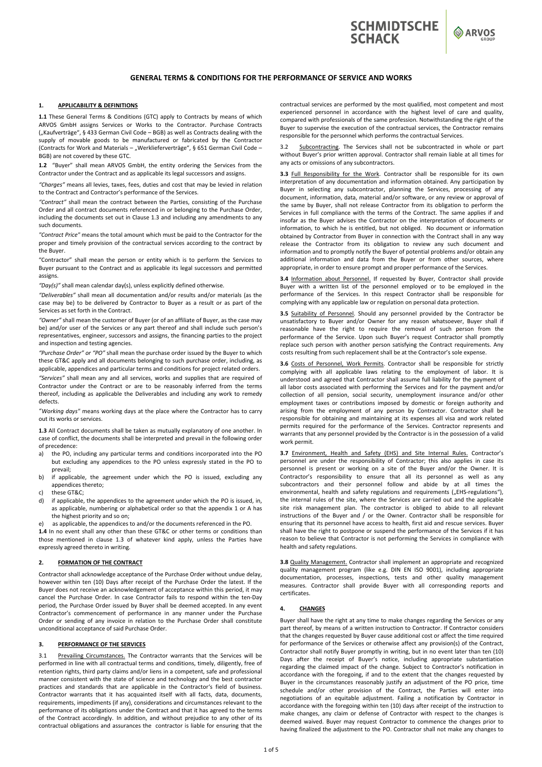



# **GENERAL TERMS & CONDITIONS FOR THE PERFORMANCE OF SERVICE AND WORKS**

### **1. APPLICABILITY & DEFINITIONS**

**1.1** These General Terms & Conditions (GTC) apply to Contracts by means of which ARVOS GmbH assigns Services or Works to the Contractor. Purchase Contracts ("Kaufverträge", § 433 German Civil Code – BGB) as well as Contracts dealing with the supply of movable goods to be manufactured or fabricated by the Contractor (Contracts for Work and Materials – "Werklieferverträge", § 651 German Civil Code BGB) are not covered by these GTC.

**1.2** "Buyer" shall mean ARVOS GmbH, the entity ordering the Services from the Contractor under the Contract and as applicable its legal successors and assigns.

*"Charges"* means all levies, taxes, fees, duties and cost that may be levied in relation to the Contract and Contractor's performance of the Services.

*"Contract"* shall mean the contract between the Parties, consisting of the Purchase Order and all contract documents referenced in or belonging to the Purchase Order, including the documents set out in Clause 1.3 and including any amendments to any such documents.

*"Contract Price"* means the total amount which must be paid to the Contractor for the proper and timely provision of the contractual services according to the contract by the Buyer.

"Contractor" shall mean the person or entity which is to perform the Services to Buyer pursuant to the Contract and as applicable its legal successors and permitted assigns.

*"Day(s)"* shall mean calendar day(s), unless explicitly defined otherwise.

*"Deliverables"* shall mean all documentation and/or results and/or materials (as the case may be) to be delivered by Contractor to Buyer as a result or as part of the Services as set forth in the Contract.

*"Owner"* shall mean the customer of Buyer (or of an affiliate of Buyer, as the case may be) and/or user of the Services or any part thereof and shall include such person's representatives, engineer, successors and assigns, the financing parties to the project and inspection and testing agencies.

*"Purchase Order" or "PO"* shall mean the purchase order issued by the Buyer to which these GT&C apply and all documents belonging to such purchase order, including, as applicable, appendices and particular terms and conditions for project related orders.

*"Services"* shall mean any and all services, works and supplies that are required of Contractor under the Contract or are to be reasonably inferred from the terms thereof, including as applicable the Deliverables and including any work to remedy defects.

*"Working days"* means working days at the place where the Contractor has to carry out its works or services.

**1.3** All Contract documents shall be taken as mutually explanatory of one another. In case of conflict, the documents shall be interpreted and prevail in the following order of precedence:

- a) the PO, including any particular terms and conditions incorporated into the PO but excluding any appendices to the PO unless expressly stated in the PO to prevail;
- b) if applicable, the agreement under which the PO is issued, excluding any appendices thereto;
- these GT&C;
- d) if applicable, the appendices to the agreement under which the PO is issued, in, as applicable, numbering or alphabetical order so that the appendix 1 or A has the highest priority and so on;
	- as applicable, the appendices to and/or the documents referenced in the PO.

1.4 In no event shall any other than these GT&C or other terms or conditions than those mentioned in clause 1.3 of whatever kind apply, unless the Parties have expressly agreed thereto in writing.

## **2. FORMATION OF THE CONTRACT**

Contractor shall acknowledge acceptance of the Purchase Order without undue delay, however within ten (10) Days after receipt of the Purchase Order the latest. If the Buyer does not receive an acknowledgement of acceptance within this period, it may cancel the Purchase Order. In case Contractor fails to respond within the ten‐Day period, the Purchase Order issued by Buyer shall be deemed accepted. In any event Contractor's commencement of performance in any manner under the Purchase Order or sending of any invoice in relation to the Purchase Order shall constitute unconditional acceptance of said Purchase Order.

# **3. PERFORMANCE OF THE SERVICES**

3.1 Prevailing Circumstances. The Contractor warrants that the Services will be performed in line with all contractual terms and conditions, timely, diligently, free of retention rights, third party claims and/or liens in a competent, safe and professional manner consistent with the state of science and technology and the best contractor practices and standards that are applicable in the Contractor's field of business. Contractor warrants that it has acquainted itself with all facts, data, documents, requirements, impediments (if any), considerations and circumstances relevant to the performance of its obligations under the Contract and that it has agreed to the terms of the Contract accordingly. In addition, and without prejudice to any other of its contractual obligations and assurances the contractor is liable for ensuring that the

contractual services are performed by the most qualified, most competent and most experienced personnel in accordance with the highest level of care and quality, compared with professionals of the same profession. Notwithstanding the right of the Buyer to supervise the execution of the contractual services, the Contractor remains responsible for the personnel which performs the contractual Services.

3.2 Subcontracting. The Services shall not be subcontracted in whole or part without Buyer's prior written approval. Contractor shall remain liable at all times for any acts or omissions of any subcontractors.

**3.3** Full Responsibility for the Work. Contractor shall be responsible for its own interpretation of any documentation and information obtained. Any participation by Buyer in selecting any subcontractor, planning the Services, processing of any document, information, data, material and/or software, or any review or approval of the same by Buyer, shall not release Contractor from its obligation to perform the Services in full compliance with the terms of the Contract. The same applies if and insofar as the Buyer advises the Contractor on the interpretation of documents or information, to which he is entitled, but not obliged. No document or information obtained by Contractor from Buyer in connection with the Contract shall in any way release the Contractor from its obligation to review any such document and information and to promptly notify the Buyer of potential problems and/or obtain any additional information and data from the Buyer or from other sources, where appropriate, in order to ensure prompt and proper performance of the Services.

**3.4** Information about Personnel. If requested by Buyer, Contractor shall provide Buyer with a written list of the personnel employed or to be employed in the performance of the Services. In this respect Contractor shall be responsible for complying with any applicable law or regulation on personal data protection.

**3.5** Suitability of Personnel. Should any personnel provided by the Contractor be unsatisfactory to Buyer and/or Owner for any reason whatsoever, Buyer shall if reasonable have the right to require the removal of such person from the performance of the Service. Upon such Buyer's request Contractor shall promptly replace such person with another person satisfying the Contract requirements. Any costs resulting from such replacement shall be at the Contractor's sole expense.

**3.6** Costs of Personnel, Work Permits. Contractor shall be responsible for strictly complying with all applicable laws relating to the employment of labor. It is understood and agreed that Contractor shall assume full liability for the payment of all labor costs associated with performing the Services and for the payment and/or collection of all pension, social security, unemployment insurance and/or other employment taxes or contributions imposed by domestic or foreign authority and arising from the employment of any person by Contractor. Contractor shall be responsible for obtaining and maintaining at its expenses all visa and work related permits required for the performance of the Services. Contractor represents and warrants that any personnel provided by the Contractor is in the possession of a valid work permit.

**3.7** Environment, Health and Safety (EHS) and Site Internal Rules. Contractor's personnel are under the responsibility of Contractor; this also applies in case its personnel is present or working on a site of the Buyer and/or the Owner. It is Contractor's responsibility to ensure that all its personnel as well as any subcontractors and their personnel follow and abide by at all times the environmental, health and safety regulations and requirements ("EHS-regulations"), the internal rules of the site, where the Services are carried out and the applicable site risk management plan. The contractor is obliged to abide to all relevant instructions of the Buyer and / or the Owner. Contractor shall be responsible for ensuring that its personnel have access to health, first aid and rescue services. Buyer shall have the right to postpone or suspend the performance of the Services if it has reason to believe that Contractor is not performing the Services in compliance with health and safety regulations.

**3.8** Quality Management. Contractor shall implement an appropriate and recognized quality management program (like e.g. DIN EN ISO 9001), including appropriate documentation, processes, inspections, tests and other quality management measures. Contractor shall provide Buyer with all corresponding reports and certificates.

#### **4. CHANGES**

Buyer shall have the right at any time to make changes regarding the Services or any part thereof, by means of a written instruction to Contractor. If Contractor considers that the changes requested by Buyer cause additional cost or affect the time required for performance of the Services or otherwise affect any provision(s) of the Contract, Contractor shall notify Buyer promptly in writing, but in no event later than ten (10) Days after the receipt of Buyer's notice, including appropriate substantiation regarding the claimed impact of the change. Subject to Contractor's notification in accordance with the foregoing, if and to the extent that the changes requested by Buyer in the circumstances reasonably justify an adjustment of the PO price, time schedule and/or other provision of the Contract, the Parties will enter into negotiations of an equitable adjustment. Failing a notification by Contractor in accordance with the foregoing within ten (10) days after receipt of the instruction to make changes, any claim or defense of Contractor with respect to the changes is deemed waived. Buyer may request Contractor to commence the changes prior to having finalized the adjustment to the PO. Contractor shall not make any changes to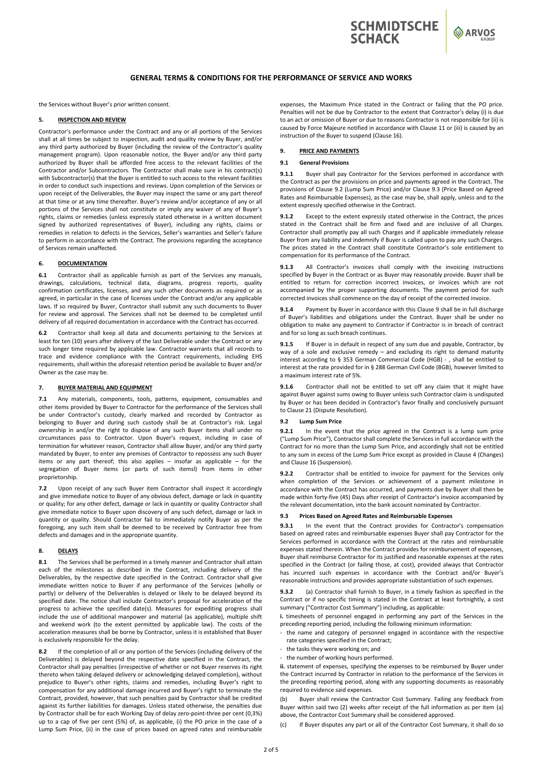

**O** ARVOS

## **GENERAL TERMS & CONDITIONS FOR THE PERFORMANCE OF SERVICE AND WORKS**

the Services without Buyer's prior written consent.

### **5. INSPECTION AND REVIEW**

Contractor's performance under the Contract and any or all portions of the Services shall at all times be subject to inspection, audit and quality review by Buyer, and/or any third party authorized by Buyer (including the review of the Contractor's quality management program). Upon reasonable notice, the Buyer and/or any third party authorized by Buyer shall be afforded free access to the relevant facilities of the Contractor and/or Subcontractors. The Contractor shall make sure in his contract(s) with Subcontractor(s) that the Buyer is entitled to such access to the relevant facilities in order to conduct such inspections and reviews. Upon completion of the Services or upon receipt of the Deliverables, the Buyer may inspect the same or any part thereof at that time or at any time thereafter. Buyer's review and/or acceptance of any or all portions of the Services shall not constitute or imply any waiver of any of Buyer's rights, claims or remedies (unless expressly stated otherwise in a written document signed by authorized representatives of Buyer), including any rights, claims or remedies in relation to defects in the Services, Seller's warranties and Seller's failure to perform in accordance with the Contract. The provisions regarding the acceptance of Services remain unaffected.

## **6. DOCUMENTATION**

**6.1** Contractor shall as applicable furnish as part of the Services any manuals, drawings, calculations, technical data, diagrams, progress reports, quality confirmation certificates, licenses, and any such other documents as required or as agreed, in particular in the case of licenses under the Contract and/or any applicable laws. If so required by Buyer, Contractor shall submit any such documents to Buyer for review and approval. The Services shall not be deemed to be completed until delivery of all required documentation in accordance with the Contract has occurred.

**6.2**  Contractor shall keep all data and documents pertaining to the Services at least for ten (10) years after delivery of the last Deliverable under the Contract or any such longer time required by applicable law. Contractor warrants that all records to trace and evidence compliance with the Contract requirements, including EHS requirements, shall within the aforesaid retention period be available to Buyer and/or Owner as the case may be.

### **7. BUYER MATERIAL AND EQUIPMENT**

**7.1** Any materials, components, tools, patterns, equipment, consumables and other items provided by Buyer to Contractor for the performance of the Services shall be under Contractor's custody, clearly marked and recorded by Contractor as belonging to Buyer and during such custody shall be at Contractor's risk. Legal ownership in and/or the right to dispose of any such Buyer items shall under no circumstances pass to Contractor. Upon Buyer's request, including in case of termination for whatever reason, Contractor shall allow Buyer, and/or any third party mandated by Buyer, to enter any premises of Contractor to repossess any such Buyer items or any part thereof; this also applies - insofar as applicable - for the segregation of Buyer items (or parts of such itemsl) from items in other proprietorship.

**7.2** Upon receipt of any such Buyer item Contractor shall inspect it accordingly and give immediate notice to Buyer of any obvious defect, damage or lack in quantity or quality; for any other defect, damage or lack in quantity or quality Contractor shall give immediate notice to Buyer upon discovery of any such defect, damage or lack in quantity or quality. Should Contractor fail to immediately notify Buyer as per the foregoing, any such item shall be deemed to be received by Contractor free from defects and damages and in the appropriate quantity.

## **8. DELAYS**

**8.1** The Services shall be performed in a timely manner and Contractor shall attain each of the milestones as described in the Contract, including delivery of the Deliverables, by the respective date specified in the Contract. Contractor shall give immediate written notice to Buyer if any performance of the Services (wholly or partly) or delivery of the Deliverables is delayed or likely to be delayed beyond its specified date. The notice shall include Contractor's proposal for acceleration of the progress to achieve the specified date(s). Measures for expediting progress shall include the use of additional manpower and material (as applicable), multiple shift and weekend work (to the extent permitted by applicable law). The costs of the acceleration measures shall be borne by Contractor, unless it is established that Buyer is exclusively responsible for the delay.

**8.2**  If the completion of all or any portion of the Services (including delivery of the Deliverables) is delayed beyond the respective date specified in the Contract, the Contractor shall pay penalties (irrespective of whether or not Buyer reserves its right thereto when taking delayed delivery or acknowledging delayed completion), without prejudice to Buyer's other rights, claims and remedies, including Buyer's right to compensation for any additional damage incurred and Buyer's right to terminate the Contract, provided, however, that such penalties paid by Contractor shall be credited against its further liabilities for damages. Unless stated otherwise, the penalties due by Contractor shall be for each Working Day of delay zero‐point‐three per cent (0,3%) up to a cap of five per cent (5%) of, as applicable, (i) the PO price in the case of a Lump Sum Price, (ii) in the case of prices based on agreed rates and reimbursable

expenses, the Maximum Price stated in the Contract or failing that the PO price. Penalties will not be due by Contractor to the extent that Contractor's delay (i) is due to an act or omission of Buyer or due to reasons Contractor is not responsible for (ii) is caused by Force Majeure notified in accordance with Clause 11 or (iii) is caused by an instruction of the Buyer to suspend (Clause 16).

### **9. PRICE AND PAYMENTS**

### **9.1 General Provisions**

**9.1.1** Buyer shall pay Contractor for the Services performed in accordance with the Contract as per the provisions on price and payments agreed in the Contract. The provisions of Clause 9.2 (Lump Sum Price) and/or Clause 9.3 (Price Based on Agreed Rates and Reimbursable Expenses), as the case may be, shall apply, unless and to the extent expressly specified otherwise in the Contract.

**9.1.2**  Except to the extent expressly stated otherwise in the Contract, the prices stated in the Contract shall be firm and fixed and are inclusive of all Charges. Contractor shall promptly pay all such Charges and if applicable immediately release Buyer from any liability and indemnify if Buyer is called upon to pay any such Charges. The prices stated in the Contract shall constitute Contractor's sole entitlement to compensation for its performance of the Contract.

**9.1.3** All Contractor's invoices shall comply with the invoicing instructions specified by Buyer in the Contract or as Buyer may reasonably provide. Buyer shall be entitled to return for correction incorrect invoices, or invoices which are not accompanied by the proper supporting documents. The payment period for such corrected invoices shall commence on the day of receipt of the corrected invoice.

**9.1.4**  Payment by Buyer in accordance with this Clause 9 shall be in full discharge of Buyer's liabilities and obligations under the Contract. Buyer shall be under no obligation to make any payment to Contractor if Contractor is in breach of contract and for so long as such breach continues.

**9.1.5** If Buyer is in default in respect of any sum due and payable, Contractor, by way of a sole and exclusive remedy - and excluding its right to demand maturity interest according to § 353 German Commercial Code (HGB) - , shall be entitled to interest at the rate provided for in § 288 German Civil Code (BGB), however limited to a maximum interest rate of 5%.

**9.1.6** Contractor shall not be entitled to set off any claim that it might have against Buyer against sums owing to Buyer unless such Contractor claim is undisputed by Buyer or has been decided in Contractor's favor finally and conclusively pursuant to Clause 21 (Dispute Resolution).

#### **9.2 Lump Sum Price**

**9.2.1** In the event that the price agreed in the Contract is a lump sum price ("Lump Sum Price"), Contractor shall complete the Services in full accordance with the Contract for no more than the Lump Sum Price, and accordingly shall not be entitled to any sum in excess of the Lump Sum Price except as provided in Clause 4 (Changes) and Clause 16 (Suspension).

**9.2.2** Contractor shall be entitled to invoice for payment for the Services only when completion of the Services or achievement of a payment milestone in accordance with the Contract has occurred, and payments due by Buyer shall then be made within forty-five (45) Days after receipt of Contractor's invoice accompanied by the relevant documentation, into the bank account nominated by Contractor.

### **9.3 Prices Based on Agreed Rates and Reimbursable Expenses**

9.3.1 In the event that the Contract provides for Contractor's compensation based on agreed rates and reimbursable expenses Buyer shall pay Contractor for the Services performed in accordance with the Contract at the rates and reimbursable expenses stated therein. When the Contract provides for reimbursement of expenses, Buyer shall reimburse Contractor for its justified and reasonable expenses at the rates specified in the Contract (or failing those, at cost), provided always that Contractor has incurred such expenses in accordance with the Contract and/or Buyer's reasonable instructions and provides appropriate substantiation of such expenses.

**9.3.2** (a) Contractor shall furnish to Buyer, in a timely fashion as specified in the Contract or if no specific timing is stated in the Contract at least fortnightly, a cost summary ("Contractor Cost Summary") including, as applicable:

i. timesheets of personnel engaged in performing any part of the Services in the preceding reporting period, including the following minimum information:

- ‐ the name and category of personnel engaged in accordance with the respective rate categories specified in the Contract;
- the tasks they were working on: and
- ‐ the number of working hours performed.

**ii.** statement of expenses, specifying the expenses to be reimbursed by Buyer under the Contract incurred by Contractor in relation to the performance of the Services in the preceding reporting period, along with any supporting documents as reasonably required to evidence said expenses.

(b) Buyer shall review the Contractor Cost Summary. Failing any feedback from Buyer within said two (2) weeks after receipt of the full information as per item (a) above, the Contractor Cost Summary shall be considered approved.

(c) If Buyer disputes any part or all of the Contractor Cost Summary, it shall do so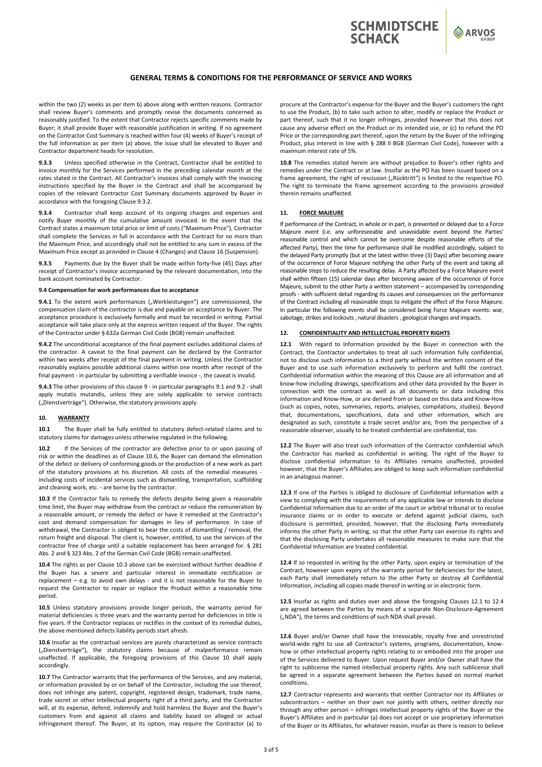

ARVOS

## **GENERAL TERMS & CONDITIONS FOR THE PERFORMANCE OF SERVICE AND WORKS**

within the two (2) weeks as per item b) above along with written reasons. Contractor shall review Buyer's comments and promptly revise the documents concerned as reasonably justified. To the extent that Contractor rejects specific comments made by Buyer; it shall provide Buyer with reasonable justification in writing. If no agreement on the Contractor Cost Summary is reached within four (4) weeks of Buyer's receipt of the full information as per item (a) above, the issue shall be elevated to Buyer and Contractor department heads for resolution.

Unless specified otherwise in the Contract, Contractor shall be entitled to invoice monthly for the Services performed in the preceding calendar month at the rates stated in the Contract. All Contractor's invoices shall comply with the invoicing instructions specified by the Buyer in the Contract and shall be accompanied by copies of the relevant Contractor Cost Summary documents approved by Buyer in accordance with the foregoing Clause 9.3.2.

**9.3.4** Contractor shall keep account of its ongoing charges and expenses and notify Buyer monthly of the cumulative amount invoiced. In the event that the Contract states a maximum total price or limit of costs ("Maximum Price"), Contractor shall complete the Services in full in accordance with the Contract for no more than the Maximum Price, and accordingly shall not be entitled to any sum in excess of the Maximum Price except as provided in Clause 4 (Changes) and Clause 16 (Suspension).

**9.3.5** Payments due by the Buyer shall be made within forty‐five (45) Days after receipt of Contractor's invoice accompanied by the relevant documentation, into the bank account nominated by Contractor.

#### **9.4 Compensation for work performances due to acceptance**

**9.4.1** To the extent work performances ("Werkleistungen") are commissioned, the compensation claim of the contractor is due and payable on acceptance by Buyer. The acceptance procedure is exclusively formally and must be recorded in writing. Partial acceptance will take place only at the express written request of the Buyer. The rights of the Contractor under § 632a German Civil Code (BGB) remain unaffected.

**9.4.2** The unconditional acceptance of the final payment excludes additional claims of the contractor. A caveat to the final payment can be declared by the Contractor within two weeks after receipt of the final payment in writing. Unless the Contractor reasonably explains possible additional claims within one month after receipt of the final payment - in particular by submitting a verifiable invoice -, the caveat is invalid.

**9.4.3** The other provisions of this clause 9 ‐ in particular paragraphs 9.1 and 9.2 ‐ shall apply mutatis mutandis, unless they are solely applicable to service contracts ("Dienstverträge"). Otherwise, the statutory provisions apply.

### **10. WARRANTY**

10.1 The Buyer shall be fully entitled to statutory defect-related claims and to statutory claims for damages unless otherwise regulated in the following.

**10.2** If the Services of the contractor are defective prior to or upon passing of risk or within the deadlines as of Clause 10.6, the Buyer can demand the elimination of the defect or delivery of conforming goods or the production of a new work as part of the statutory provisions at his discretion. All costs of the remedial measures including costs of incidental services such as dismantling, transportation, scaffolding and cleaning work, etc. ‐ are borne by the contractor.

10.3 If the Contractor fails to remedy the defects despite being given a reasonable time limit, the Buyer may withdraw from the contract or reduce the remuneration by a reasonable amount, or remedy the defect or have it remedied at the Contractor's cost and demand compensation for damages in lieu of performance. In case of withdrawal, the Contractor is obliged to bear the costs of dismantling / removal, the return freight and disposal. The client is, however, entitled, to use the services of the contractor free of charge until a suitable replacement has been arranged for. § 281 Abs. 2 and § 323 Abs. 2 of the German Civil Code (BGB) remain unaffected.

**10.4** The rights as per Clause 10.3 above can be exercised without further deadline if the Buyer has a severe and particular interest in immediate rectification or replacement - e.g. to avoid own delays - and it is not reasonable for the Buyer to request the Contractor to repair or replace the Product within a reasonable time period.

10.5 Unless statutory provisions provide longer periods, the warranty period for material deficiencies is three years and the warranty period for deficiencies in title is five years. If the Contractor replaces or rectifies in the context of its remedial duties, the above mentioned defects liability periods start afresh.

**10.6** Insofar as the contractual services are purely characterized as service contracts ("Dienstverträge"), the statutory claims because of malperformance remain unaffected. If applicable, the foregoing provisions of this Clause 10 shall apply accordingly.

**10.7** The Contractor warrants that the performance of the Services, and any material, or information provided by or on behalf of the Contractor, including the use thereof, does not infringe any patent, copyright, registered design, trademark, trade name, trade secret or other intellectual property right of a third party, and the Contractor will, at its expense, defend, indemnify and hold harmless the Buyer and the Buyer's customers from and against all claims and liability based on alleged or actual infringement thereof. The Buyer, at its option, may require the Contractor (a) to procure at the Contractor's expense for the Buyer and the Buyer's customers the right to use the Product, (b) to take such action to alter, modify or replace the Product or part thereof, such that it no longer infringes, provided however that this does not cause any adverse effect on the Product or its intended use, or (c) to refund the PO Price or the corresponding part thereof, upon the return by the Buyer of the infringing Product, plus interest in line with § 288 II BGB (German Civil Code), however with a maximum interest rate of 5%.

10.8 The remedies stated herein are without prejudice to Buyer's other rights and remedies under the Contract or at law. Insofar as the PO has been issued based on a frame agreement, the right of rescission ("Rücktritt") is limited to the respective PO. The right to terminate the frame agreement according to the provisions provided therein remains unaffected.

## **11. FORCE MAJEURE**

If performance of the Contract, in whole or in part, is prevented or delayed due to a Force Majeure event (i.e. any unforeseeable and unavoidable event beyond the Parties' reasonable control and which cannot be overcome despite reasonable efforts of the affected Party), then the time for performance shall be modified accordingly, subject to the delayed Party promptly (but at the latest within three (3) Days) after becoming aware of the occurrence of Force Majeure notifying the other Party of the event and taking all reasonable steps to reduce the resulting delay. A Party affected by a Force Majeure event shall within fifteen (15) calendar days after becoming aware of the occurrence of Force Majeure, submit to the other Party a written statement – accompanied by corresponding proofs ‐ with sufficient detail regarding its causes and consequences on the performance of the Contract including all reasonable steps to mitigate the effect of the Force Majeure. In particular the following events shall be considered being Force Majeure events: war, sabotage, strikes and lockouts , natural disasters , geological changes and impacts.

### **12. CONFIDENTIALITY AND INTELLECTUAL PROPERTY RIGHTS**

12.1 With regard to Information provided by the Buyer in connection with the Contract, the Contractor undertakes to treat all such information fully confidential, not to disclose such information to a third party without the written consent of the Buyer and to use such information exclusively to perform and fulfil the contract. Confidential information within the meaning of this Clause are all information and all know‐how including drawings, specifications and other data provided by the Buyer in connection with the contract as well as all documents or data including this information and Know‐How, or are derived from or based on this data and Know‐How (such as copies, notes, summaries, reports, analyses, compilations, studies). Beyond that, documentations, specifications, data and other information, which are designated as such, constitute a trade secret and/or are, from the perspective of a reasonable observer, usually to be treated confidential are confidential, too.

**12.2** The Buyer will also treat such information of the Contractor confidential which the Contractor has marked as confidential in writing. The right of the Buyer to disclose confidential information to its Affiliates remains unaffected, provided however, that the Buyer's Affiliates are obliged to keep such information confidential in an analogous manner.

12.3 If one of the Parties is obliged to disclosure of Confidential Information with a view to complying with the requirements of any applicable law or intends to disclose Confidential Information due to an order of the court or arbitral tribunal or to resolve insurance claims or in order to execute or defend against judicial claims, such disclosure is permitted, provided, however, that the disclosing Party immediately informs the other Party in writing, so that the other Party can exercise its rights and that the disclosing Party undertakes all reasonable measures to make sure that the Confidential Information are treated confidential.

**12.4** If so requested in writing by the other Party, upon expiry or termination of the Contract, however upon expiry of the warranty period for deficiencies for the latest, each Party shall immediately return to the other Party or destroy all Confidential Information, including all copies made thereof in writing or in electronic form.

12.5 Insofar as rights and duties over and above the foregoing Clauses 12.1 to 12.4 are agreed between the Parties by means of a separate Non-Disclosure-Agreement ("NDA"), the terms and conditions of such NDA shall prevail.

12.6 Buyer and/or Owner shall have the irrevocable, royalty free and unrestricted world-wide right to use all Contractor's systems, programs, documentation, knowhow or other intellectual property rights relating to or embodied into the proper use of the Services delivered to Buyer. Upon request Buyer and/or Owner shall have the right to sublicense the named intellectual property rights. Any such sublicense shall be agreed in a separate agreement between the Parties based on normal market conditions.

**12.7** Contractor represents and warrants that neither Contractor nor its Affiliates or subcontractors - neither on their own nor jointly with others, neither directly nor through any other person – infringes intellectual property rights of the Buyer or the Buyer's Affiliates and in particular (a) does not accept or use proprietary information of the Buyer or its Affiliates, for whatever reason, insofar as there is reason to believe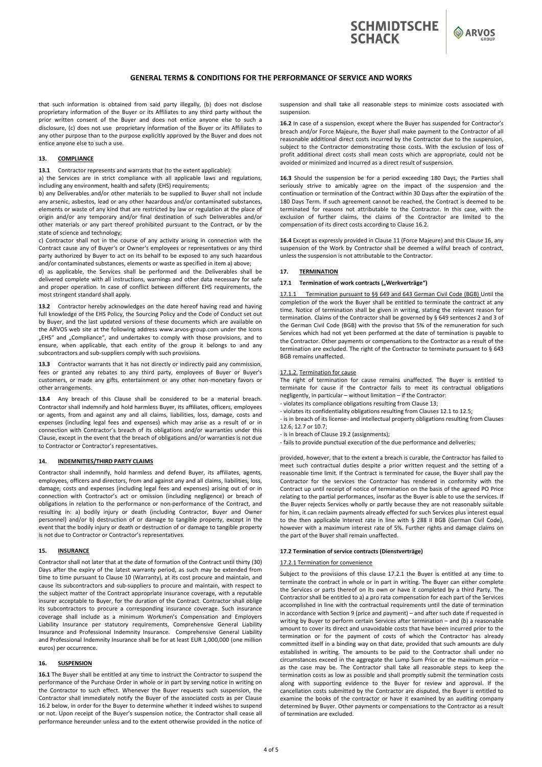# **GENERAL TERMS & CONDITIONS FOR THE PERFORMANCE OF SERVICE AND WORKS**

that such information is obtained from said party illegally, (b) does not disclose proprietary information of the Buyer or its Affiliates to any third party without the prior written consent of the Buyer and does not entice anyone else to such a disclosure, (c) does not use proprietary information of the Buyer or its Affiliates to any other purpose than to the purpose explicitly approved by the Buyer and does not entice anyone else to such a use.

### **13. COMPLIANCE**

**13.1** Contractor represents and warrants that (to the extent applicable):

a) the Services are in strict compliance with all applicable laws and regulations, including any environment, health and safety (EHS) requirements;

b) any Deliverables and/or other materials to be supplied to Buyer shall not include any arsenic, asbestos, lead or any other hazardous and/or contaminated substances, elements or waste of any kind that are restricted by law or regulation at the place of origin and/or any temporary and/or final destination of such Deliverables and/or other materials or any part thereof prohibited pursuant to the Contract, or by the state of science and technology;

c) Contractor shall not in the course of any activity arising in connection with the Contract cause any of Buyer's or Owner's employees or representatives or any third party authorized by Buyer to act on its behalf to be exposed to any such hazardous and/or contaminated substances, elements or waste as specified in item a) above;

d) as applicable, the Services shall be performed and the Deliverables shall be delivered complete with all instructions, warnings and other data necessary for safe and proper operation. In case of conflict between different EHS requirements, the most stringent standard shall apply.

13.2 Contractor hereby acknowledges on the date hereof having read and having full knowledge of the EHS Policy, the Sourcing Policy and the Code of Conduct set out by Buyer, and the last updated versions of these documents which are available on the ARVOS web site at the following address www.arvos-group.com under the Icons "EHS" and "Compliance", and undertakes to comply with those provisions, and to ensure, when applicable, that each entity of the group it belongs to and any subcontractors and sub‐suppliers comply with such provisions.

**13.3** Contractor warrants that it has not directly or indirectly paid any commission, fees or granted any rebates to any third party, employees of Buyer or Buyer's customers, or made any gifts, entertainment or any other non‐monetary favors or other arrangements.

13.4 Any breach of this Clause shall be considered to be a material breach. Contractor shall indemnify and hold harmless Buyer, its affiliates, officers, employees or agents, from and against any and all claims, liabilities, loss, damage, costs and expenses (including legal fees and expenses) which may arise as a result of or in connection with Contractor's breach of its obligations and/or warranties under this Clause, except in the event that the breach of obligations and/or warranties is not due to Contractor or Contractor's representatives.

### **14. INDEMNITIES/THIRD PARTY CLAIMS**

Contractor shall indemnify, hold harmless and defend Buyer, its affiliates, agents, employees, officers and directors, from and against any and all claims, liabilities, loss, damage, costs and expenses (including legal fees and expenses) arising out of or in connection with Contractor's act or omission (including negligence) or breach of obligations in relation to the performance or non‐performance of the Contract, and resulting in: a) bodily injury or death (including Contractor, Buyer and Owner personnel) and/or b) destruction of or damage to tangible property, except in the event that the bodily injury or death or destruction of or damage to tangible property is not due to Contractor or Contractor's representatives.

## **15. INSURANCE**

Contractor shall not later that at the date of formation of the Contract until thirty (30) Days after the expiry of the latest warranty period, as such may be extended from time to time pursuant to Clause 10 (Warranty), at its cost procure and maintain, and cause its subcontractors and sub‐suppliers to procure and maintain, with respect to the subject matter of the Contract appropriate insurance coverage, with a reputable insurer acceptable to Buyer, for the duration of the Contract. Contractor shall oblige its subcontractors to procure a corresponding insurance coverage. Such insurance coverage shall include as a minimum Workmen's Compensation and Employers Liability Insurance per statutory requirements, Comprehensive General Liability Insurance and Professional Indemnity Insurance. Comprehensive General Liability and Professional Indemnity Insurance shall be for at least EUR 1,000,000 (one million euros) per occurrence.

### **16. SUSPENSION**

**16.1** The Buyer shall be entitled at any time to instruct the Contractor to suspend the performance of the Purchase Order in whole or in part by serving notice in writing on the Contractor to such effect. Whenever the Buyer requests such suspension, the Contractor shall immediately notify the Buyer of the associated costs as per Clause 16.2 below, in order for the Buyer to determine whether it indeed wishes to suspend or not. Upon receipt of the Buyer's suspension notice, the Contractor shall cease all performance hereunder unless and to the extent otherwise provided in the notice of

suspension and shall take all reasonable steps to minimize costs associated with suspension.

**SCHMIDTSCHE** 

**SCHACK** 

ARVOS

**16.2** In case of a suspension, except where the Buyer has suspended for Contractor's breach and/or Force Majeure, the Buyer shall make payment to the Contractor of all reasonable additional direct costs incurred by the Contractor due to the suspension, subject to the Contractor demonstrating those costs. With the exclusion of loss of profit additional direct costs shall mean costs which are appropriate, could not be avoided or minimized and incurred as a direct result of suspension.

16.3 Should the suspension be for a period exceeding 180 Days, the Parties shall seriously strive to amicably agree on the impact of the suspension and the continuation or termination of the Contract within 30 Days after the expiration of the 180 Days Term. If such agreement cannot be reached, the Contract is deemed to be terminated for reasons not attributable to the Contractor. In this case, with the exclusion of further claims, the claims of the Contractor are limited to the compensation of its direct costs according to Clause 16.2.

**16.4** Except as expressly provided in Clause 11 (Force Majeure) and this Clause 16, any suspension of the Work by Contractor shall be deemed a wilful breach of contract, unless the suspension is not attributable to the Contractor.

### **17. TERMINATION**

### 17.1 Termination of work contracts ("Werkverträge")

17.1.1 Termination pursuant to §§ 649 and 643 German Civil Code (BGB) Until the completion of the work the Buyer shall be entitled to terminate the contract at any time. Notice of termination shall be given in writing, stating the relevant reason for termination. Claims of the Contractor shall be governed by § 649 sentences 2 and 3 of the German Civil Code (BGB) with the proviso that 5% of the remuneration for such Services which had not yet been performed at the date of termination is payable to the Contractor. Other payments or compensations to the Contractor as a result of the termination are excluded. The right of the Contractor to terminate pursuant to § 643 BGB remains unaffected.

### 17.1.2. Termination for cause

The right of termination for cause remains unaffected. The Buyer is entitled to terminate for cause if the Contractor fails to meet its contractual obligations negligently, in particular – without limitation – if the Contractor:

‐ violates its compliance obligations resulting from Clause 13;

‐ violates its confidentiality obligations resulting from Clauses 12.1 to 12.5;

‐ is in breach of its license‐ and intellectual property obligations resulting from Clauses 12.6, 12.7 or 10.7;

‐ is in breach of Clause 19.2 (assignments);

‐ fails to provide punctual execution of the due performance and deliveries;

provided, however, that to the extent a breach is curable, the Contractor has failed to meet such contractual duties despite a prior written request and the setting of a reasonable time limit. If the Contract is terminated for cause, the Buyer shall pay the Contractor for the services the Contractor has rendered in conformity with the Contract up until receipt of notice of termination on the basis of the agreed PO Price relating to the partial performances, insofar as the Buyer is able to use the services. If the Buyer rejects Services wholly or partly because they are not reasonably suitable for him, it can reclaim payments already effected for such Services plus interest equal to the then applicable interest rate in line with § 288 II BGB (German Civil Code), however with a maximum interest rate of 5%. Further rights and damage claims on the part of the Buyer shall remain unaffected.

#### **17.2 Termination of service contracts (Dienstverträge)**

#### 17.2.1 Termination for convenience

Subject to the provisions of this clause 17.2.1 the Buyer is entitled at any time to terminate the contract in whole or in part in writing. The Buyer can either complete the Services or parts thereof on its own or have it completed by a third Party. The Contractor shall be entitled to a) a pro rata compensation for each part of the Services accomplished in line with the contractual requirements until the date of termination in accordance with Section 9 (price and payment) – and after such date if requested in writing by Buyer to perform certain Services after termination – and (b) a reasonable amount to cover its direct and unavoidable costs that have been incurred prior to the termination or for the payment of costs of which the Contractor has already committed itself in a binding way on that date, provided that such amounts are duly established in writing. The amounts to be paid to the Contractor shall under no circumstances exceed in the aggregate the Lump Sum Price or the maximum price – as the case may be. The Contractor shall take all reasonable steps to keep the termination costs as low as possible and shall promptly submit the termination costs along with supporting evidence to the Buyer for review and approval. If the cancellation costs submitted by the Contractor are disputed, the Buyer is entitled to examine the books of the contractor or have it examined by an auditing company determined by Buyer. Other payments or compensations to the Contractor as a result of termination are excluded.